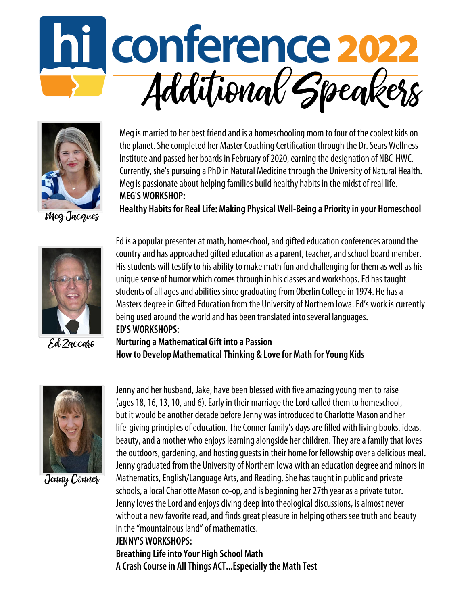



Meg is married to her best friend and is a homeschooling mom to four of the coolest kids on the planet. She completed her Master Coaching Certification through the Dr. Sears Wellness Institute and passed her boards in February of 2020, earning the designation of NBC-HWC. Currently, she's pursuing a PhD in Natural Medicine through the University of Natural Health. Meg is passionate about helping families build healthy habits in the midst of real life. **MEG'SWORKSHOP:**

**Healthy Habits for RealLife: Making PhysicalWell-Being a Priorityin your Homeschool**



Ed Zaccaro

Ed is a popular presenter at math, homeschool, and gifted education conferences around the country and has approached gifted education as a parent, teacher, and school board member. His students will testify to his ability to make math fun and challenging for them as well as his unique sense of humor which comes through in his classes and workshops. Ed has taught students of all ages and abilities since graduating from Oberlin College in 1974. He has a Masters degree in Gifted Education from the University of Northern Iowa. Ed's work is currently being used around the world and has been translated into several languages. **ED'SWORKSHOPS:**

**Nurturing a Mathematical Gift into a Passion How to Develop MathematicalThinking & Lovefor Math forYoung Kids**



Jenny Conner

Jenny and her husband, Jake, have been blessed with five amazing young men to raise (ages 18, 16, 13, 10, and 6). Early in their marriage the Lord called them to homeschool, but it would be another decade before Jenny was introduced to Charlotte Mason and her life-giving principles of education. The Conner family's days are filled with living books, ideas, beauty, and a mother who enjoys learning alongside her children. They are a family that loves the outdoors, gardening, and hosting quests in their home for fellowship over a delicious meal. Jenny graduated from the University of Northern Iowa with an education degree and minors in Mathematics, English/Language Arts, and Reading. She has taught in public and private schools, a local Charlotte Mason co-op, and is beginning her 27th year as a private tutor. Jenny loves the Lord and enjoys diving deep into theological discussions, is almost never without a new favorite read, and finds great pleasure in helping others see truth and beauty in the "mountainous land" of mathematics. **JENNY'SWORKSHOPS:**

**Breathing Lifeinto Your High School Math A Crash Coursein AllThings ACT...Especiallythe Math Test**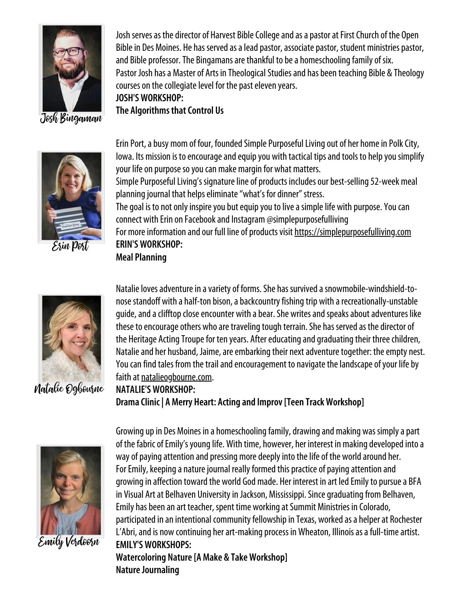

Josh Bingaman



Erin Port

**The Algorithms that Control Us** Erin Port, a busy mom of four, founded Simple Purposeful Living out of her home in Polk City, Iowa. Its mission is to encourage and equip you with tactical tips and tools to help you simplify your life on purpose so you can make margin for what matters. Simple Purposeful Living's signature line of products includes our best-selling 52-week meal planning journal that helps eliminate "what's for dinner" stress. The goal is to not only inspire you but equip you to live a simple life with purpose. You can connect with Erin on Facebook and Instagram @simplepurposefulliving For more information and our full line of products visit [https://simplepurposefulliving.com](https://simplepurposefulliving.com/) **ERIN'SWORKSHOP: Meal Planning**

Josh serves as the director of Harvest Bible College and as a pastor at First Church of the Open Bible in Des Moines. He has served as a lead pastor, associate pastor, student ministries pastor,

Pastor Josh has a Master of Arts in Theological Studies and has been teaching Bible & Theology

and Bible professor. The Bingamans are thankful to be a homeschooling family of six.

courses on the collegiate level for the past eleven years.

**JOSH'SWORKSHOP:**



Natalie Ogbourne

Natalie loves adventure in a variety of forms. She has survived a snowmobile-windshield-tonose standoff with a half-ton bison, a backcountry fishing trip with a recreationally-unstable guide, and a clifftop close encounter with a bear. She writes and speaks about adventures like these to encourage others who are traveling tough terrain. She has served as the director of the Heritage Acting Troupe for ten years. After educating and graduating their three children, Natalie and her husband, Jaime, are embarking their next adventure together: the empty nest. You can find tales from the trail and encouragement to navigate the landscape of your life by faith at [natalieogbourne.com](https://natalieogbourne.com/).

**NATALIE'SWORKSHOP: DramaClinic | A Merry Heart: Acting and Improv[Teen TrackWorkshop]**



Emily Verdoorn

Growing up in Des Moines in a homeschooling family, drawing and making was simply a part of the fabric of Emily's young life. With time, however, her interest in making developed into a way of paying attention and pressing more deeply into the life of the world around her. For Emily, keeping a nature journal really formed this practice of paying attention and growing in affection toward the world God made. Her interest in art led Emily to pursue a BFA in Visual Art at Belhaven University in Jackson, Mississippi. Since graduating from Belhaven, Emily has been an art teacher, spent time working at Summit Ministries in Colorado, participated in an intentional community fellowship in Texas, worked as a helper at Rochester L'Abri, and is now continuing her art-making process in Wheaton, Illinois as a full-time artist. **EMILY'SWORKSHOPS: Watercoloring Nature[A Make & TakeWorkshop] Nature Journaling**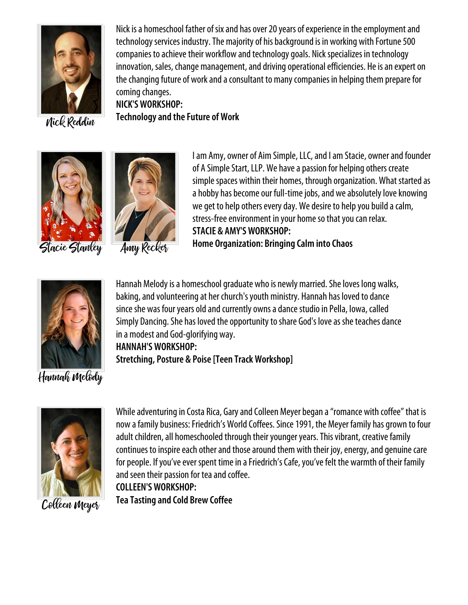

Nick is a homeschool father of six and has over 20 years of experience in the employment and technology services industry. The majority of his background is in working with Fortune 500 companies to achieve their workflow and technology goals. Nick specializes in technology innovation, sales, change management, and driving operational efficiencies. He is an expert on the changing future of work and a consultant to many companies in helping them prepare for coming changes.

Nick Reddin





**NICK'SWORKSHOP:**

**Technologyand theFuture ofWork**

I am Amy, owner of Aim Simple, LLC, and I am Stacie, owner and founder of A Simple Start, LLP. We have a passion for helping others create simple spaces within their homes, through organization. What started as a hobby has become our full-time jobs, and we absolutely love knowing we get to help others every day. We desire to help you build a calm, stress-free environment in your home so that you can relax. **STACIE & AMY'SWORKSHOP: Home Organization: Bringing Calminto Chaos**



Hannah Melody is a homeschool graduate who is newly married. She loves long walks, baking, and volunteering at her church's youth ministry. Hannah has loved to dance since she was four years old and currently owns a dance studio in Pella, Iowa, called Simply Dancing. She has loved the opportunity to share God's love as she teaches dance in a modest and God-glorifying way. **HANNAH'SWORKSHOP: Stretching, Posture & Poise[Teen TrackWorkshop]**

## Hannah Melody



While adventuring in Costa Rica, Gary and Colleen Meyer began a "romance with coffee" that is now a family business: Friedrich's World Coffees. Since 1991, the Meyer family has grown to four adult children, all homeschooled through their younger years. This vibrant, creative family continues to inspire each other and those around them with their joy, energy, and genuine care for people. If you've ever spent time in a Friedrich's Cafe, you've felt the warmth of their family and seen their passion for tea and coffee.

**COLLEEN'SWORKSHOP:**

**TeaTasting and Cold Brew Coffee**